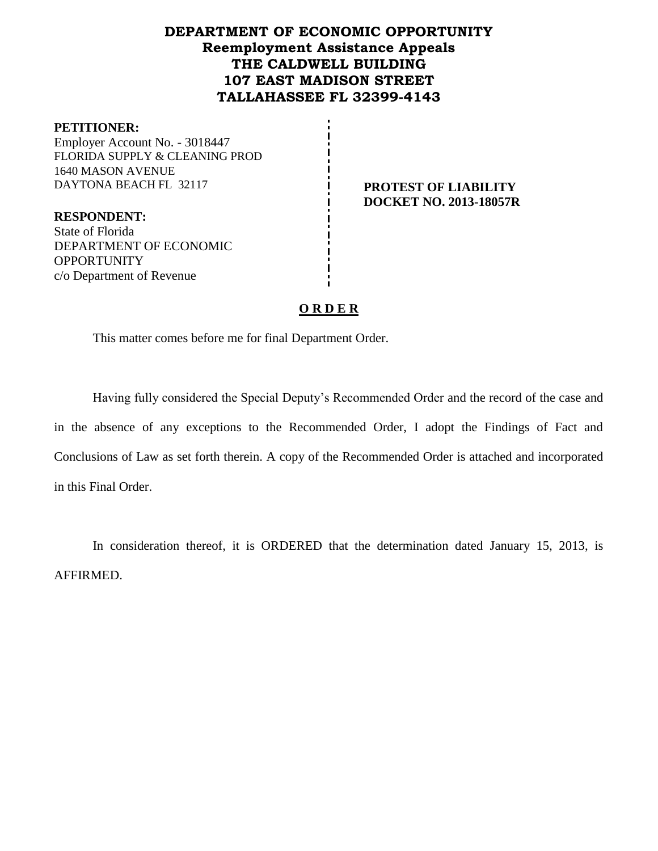# **DEPARTMENT OF ECONOMIC OPPORTUNITY Reemployment Assistance Appeals THE CALDWELL BUILDING 107 EAST MADISON STREET TALLAHASSEE FL 32399-4143**

#### **PETITIONER:**

Employer Account No. - 3018447 FLORIDA SUPPLY & CLEANING PROD 1640 MASON AVENUE DAYTONA BEACH FL 32117 **PROTEST OF LIABILITY**

**DOCKET NO. 2013-18057R**

**RESPONDENT:** State of Florida DEPARTMENT OF ECONOMIC **OPPORTUNITY** c/o Department of Revenue

## **O R D E R**

This matter comes before me for final Department Order.

Having fully considered the Special Deputy's Recommended Order and the record of the case and in the absence of any exceptions to the Recommended Order, I adopt the Findings of Fact and Conclusions of Law as set forth therein. A copy of the Recommended Order is attached and incorporated in this Final Order.

In consideration thereof, it is ORDERED that the determination dated January 15, 2013, is AFFIRMED.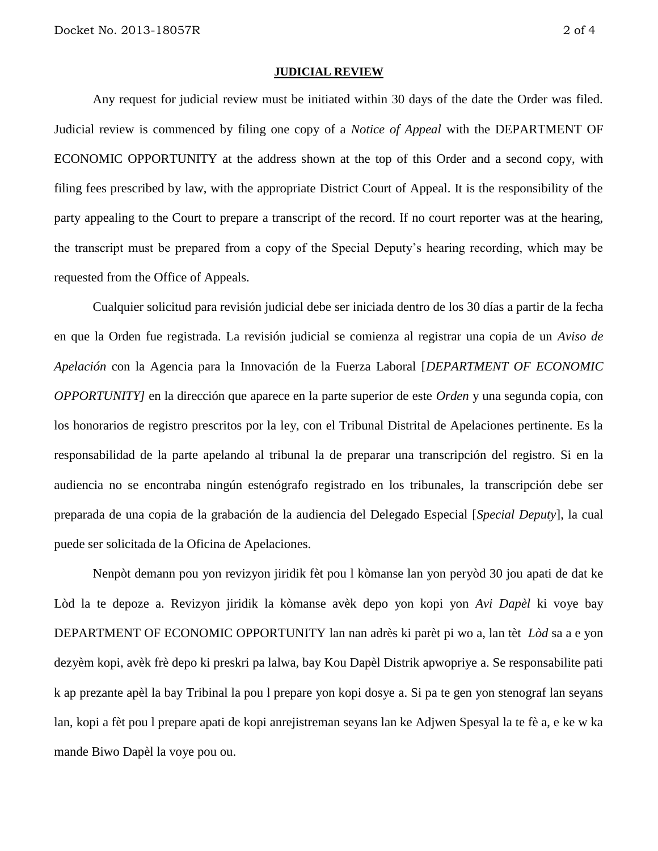#### **JUDICIAL REVIEW**

Any request for judicial review must be initiated within 30 days of the date the Order was filed. Judicial review is commenced by filing one copy of a *Notice of Appeal* with the DEPARTMENT OF ECONOMIC OPPORTUNITY at the address shown at the top of this Order and a second copy, with filing fees prescribed by law, with the appropriate District Court of Appeal. It is the responsibility of the party appealing to the Court to prepare a transcript of the record. If no court reporter was at the hearing, the transcript must be prepared from a copy of the Special Deputy's hearing recording, which may be requested from the Office of Appeals.

Cualquier solicitud para revisión judicial debe ser iniciada dentro de los 30 días a partir de la fecha en que la Orden fue registrada. La revisión judicial se comienza al registrar una copia de un *Aviso de Apelación* con la Agencia para la Innovación de la Fuerza Laboral [*DEPARTMENT OF ECONOMIC OPPORTUNITY]* en la dirección que aparece en la parte superior de este *Orden* y una segunda copia, con los honorarios de registro prescritos por la ley, con el Tribunal Distrital de Apelaciones pertinente. Es la responsabilidad de la parte apelando al tribunal la de preparar una transcripción del registro. Si en la audiencia no se encontraba ningún estenógrafo registrado en los tribunales, la transcripción debe ser preparada de una copia de la grabación de la audiencia del Delegado Especial [*Special Deputy*], la cual puede ser solicitada de la Oficina de Apelaciones.

Nenpòt demann pou yon revizyon jiridik fèt pou l kòmanse lan yon peryòd 30 jou apati de dat ke Lòd la te depoze a. Revizyon jiridik la kòmanse avèk depo yon kopi yon *Avi Dapèl* ki voye bay DEPARTMENT OF ECONOMIC OPPORTUNITY lan nan adrès ki parèt pi wo a, lan tèt *Lòd* sa a e yon dezyèm kopi, avèk frè depo ki preskri pa lalwa, bay Kou Dapèl Distrik apwopriye a. Se responsabilite pati k ap prezante apèl la bay Tribinal la pou l prepare yon kopi dosye a. Si pa te gen yon stenograf lan seyans lan, kopi a fèt pou l prepare apati de kopi anrejistreman seyans lan ke Adjwen Spesyal la te fè a, e ke w ka mande Biwo Dapèl la voye pou ou.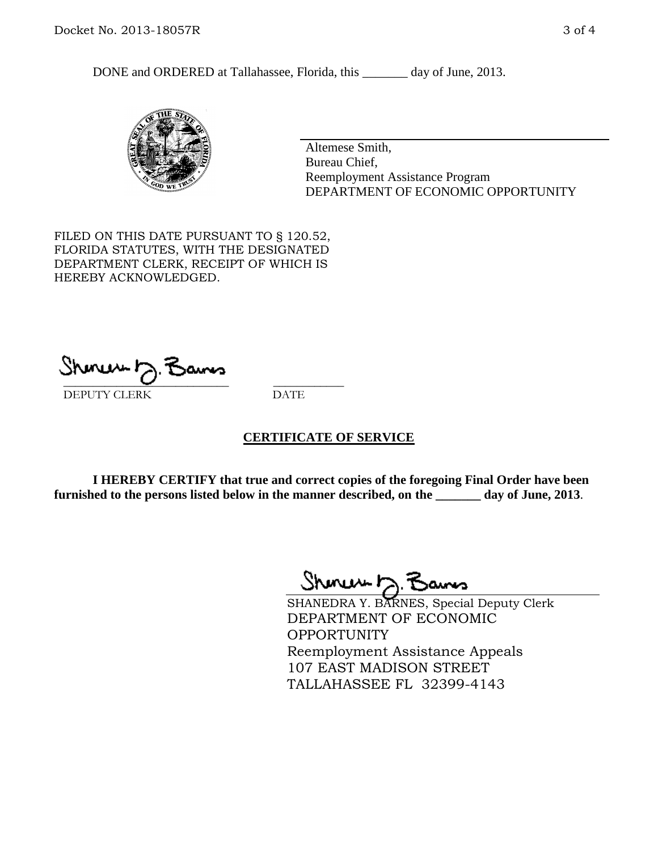DONE and ORDERED at Tallahassee, Florida, this \_\_\_\_\_\_\_ day of June, 2013.



Altemese Smith, Bureau Chief, Reemployment Assistance Program DEPARTMENT OF ECONOMIC OPPORTUNITY

FILED ON THIS DATE PURSUANT TO § 120.52, FLORIDA STATUTES, WITH THE DESIGNATED DEPARTMENT CLERK, RECEIPT OF WHICH IS HEREBY ACKNOWLEDGED.

 $\overline{\phantom{a}}$  ,  $\overline{\phantom{a}}$  ,  $\overline{\phantom{a}}$  ,  $\overline{\phantom{a}}$  ,  $\overline{\phantom{a}}$  ,  $\overline{\phantom{a}}$  ,  $\overline{\phantom{a}}$  ,  $\overline{\phantom{a}}$ DEPUTY CLERK DATE

## **CERTIFICATE OF SERVICE**

**I HEREBY CERTIFY that true and correct copies of the foregoing Final Order have been furnished to the persons listed below in the manner described, on the \_\_\_\_\_\_\_ day of June, 2013**.

Shmun h.F

SHANEDRA Y. BARNES, Special Deputy Clerk DEPARTMENT OF ECONOMIC **OPPORTUNITY** Reemployment Assistance Appeals 107 EAST MADISON STREET TALLAHASSEE FL 32399-4143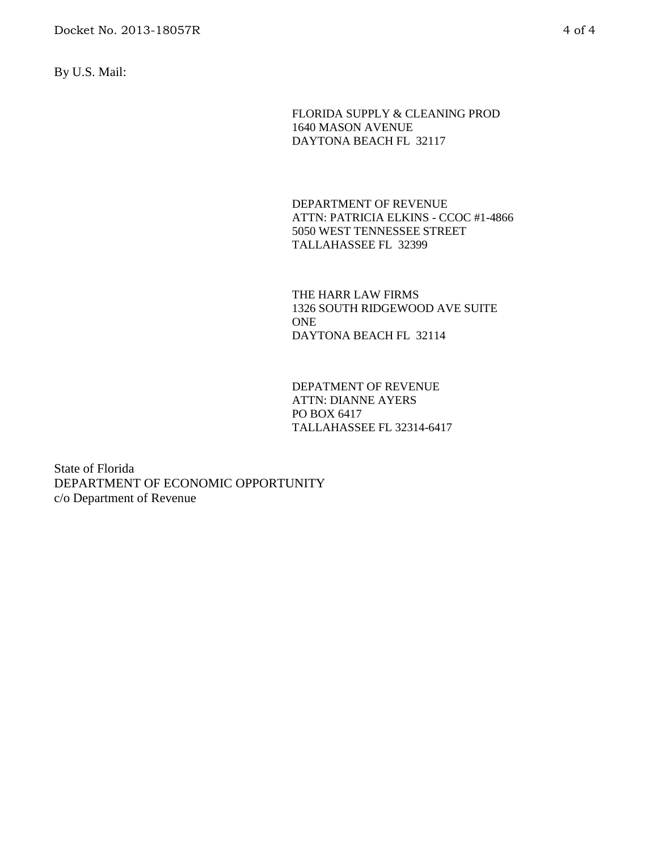By U.S. Mail:

FLORIDA SUPPLY & CLEANING PROD 1640 MASON AVENUE DAYTONA BEACH FL 32117

DEPARTMENT OF REVENUE ATTN: PATRICIA ELKINS - CCOC #1-4866 5050 WEST TENNESSEE STREET TALLAHASSEE FL 32399

THE HARR LAW FIRMS 1326 SOUTH RIDGEWOOD AVE SUITE **ONE** DAYTONA BEACH FL 32114

DEPATMENT OF REVENUE ATTN: DIANNE AYERS PO BOX 6417 TALLAHASSEE FL 32314-6417

State of Florida DEPARTMENT OF ECONOMIC OPPORTUNITY c/o Department of Revenue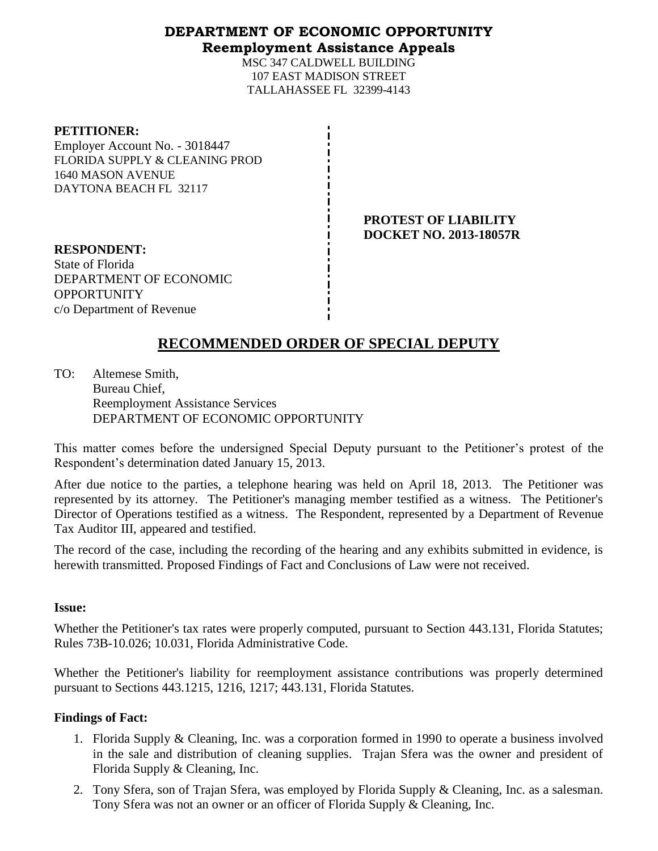## **DEPARTMENT OF ECONOMIC OPPORTUNITY Reemployment Assistance Appeals**

MSC 347 CALDWELL BUILDING 107 EAST MADISON STREET TALLAHASSEE FL 32399-4143

### **PETITIONER:**

Employer Account No. - 3018447 FLORIDA SUPPLY & CLEANING PROD 1640 MASON AVENUE DAYTONA BEACH FL 32117

> **PROTEST OF LIABILITY DOCKET NO. 2013-18057R**

**RESPONDENT:** State of Florida DEPARTMENT OF ECONOMIC OPPORTUNITY c/o Department of Revenue

# **RECOMMENDED ORDER OF SPECIAL DEPUTY**

TO: Altemese Smith, Bureau Chief, Reemployment Assistance Services DEPARTMENT OF ECONOMIC OPPORTUNITY

This matter comes before the undersigned Special Deputy pursuant to the Petitioner's protest of the Respondent's determination dated January 15, 2013.

After due notice to the parties, a telephone hearing was held on April 18, 2013. The Petitioner was represented by its attorney. The Petitioner's managing member testified as a witness. The Petitioner's Director of Operations testified as a witness. The Respondent, represented by a Department of Revenue Tax Auditor III, appeared and testified.

The record of the case, including the recording of the hearing and any exhibits submitted in evidence, is herewith transmitted. Proposed Findings of Fact and Conclusions of Law were not received.

## **Issue:**

Whether the Petitioner's tax rates were properly computed, pursuant to Section 443.131, Florida Statutes; Rules 73B-10.026; 10.031, Florida Administrative Code.

Whether the Petitioner's liability for reemployment assistance contributions was properly determined pursuant to Sections 443.1215, 1216, 1217; 443.131, Florida Statutes.

## **Findings of Fact:**

- 1. Florida Supply & Cleaning, Inc. was a corporation formed in 1990 to operate a business involved in the sale and distribution of cleaning supplies. Trajan Sfera was the owner and president of Florida Supply & Cleaning, Inc.
- 2. Tony Sfera, son of Trajan Sfera, was employed by Florida Supply & Cleaning, Inc. as a salesman. Tony Sfera was not an owner or an officer of Florida Supply & Cleaning, Inc.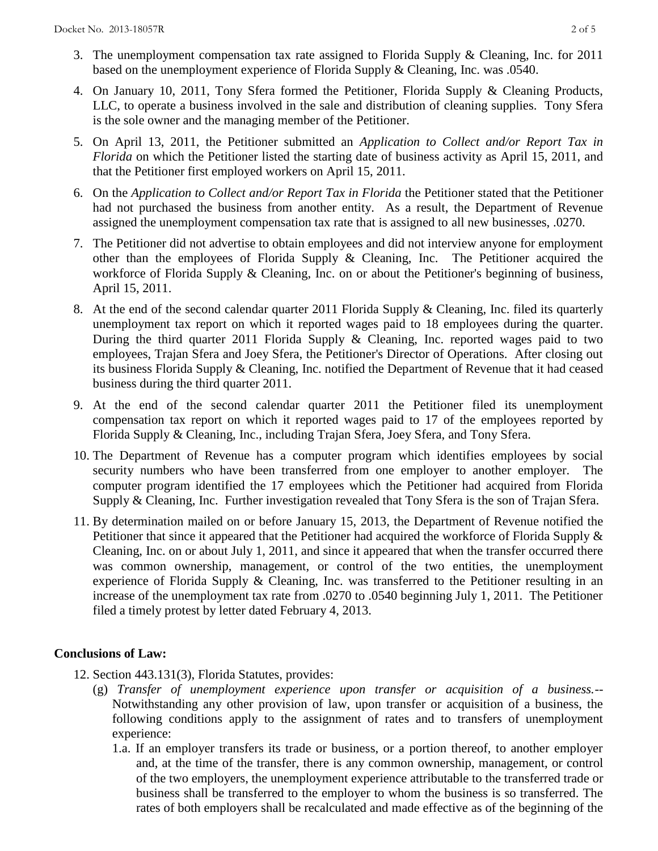- 3. The unemployment compensation tax rate assigned to Florida Supply & Cleaning, Inc. for 2011 based on the unemployment experience of Florida Supply & Cleaning, Inc. was .0540.
- 4. On January 10, 2011, Tony Sfera formed the Petitioner, Florida Supply & Cleaning Products, LLC, to operate a business involved in the sale and distribution of cleaning supplies. Tony Sfera is the sole owner and the managing member of the Petitioner.
- 5. On April 13, 2011, the Petitioner submitted an *Application to Collect and/or Report Tax in Florida* on which the Petitioner listed the starting date of business activity as April 15, 2011, and that the Petitioner first employed workers on April 15, 2011.
- 6. On the *Application to Collect and/or Report Tax in Florida* the Petitioner stated that the Petitioner had not purchased the business from another entity. As a result, the Department of Revenue assigned the unemployment compensation tax rate that is assigned to all new businesses, .0270.
- 7. The Petitioner did not advertise to obtain employees and did not interview anyone for employment other than the employees of Florida Supply & Cleaning, Inc. The Petitioner acquired the workforce of Florida Supply & Cleaning, Inc. on or about the Petitioner's beginning of business, April 15, 2011.
- 8. At the end of the second calendar quarter 2011 Florida Supply & Cleaning, Inc. filed its quarterly unemployment tax report on which it reported wages paid to 18 employees during the quarter. During the third quarter 2011 Florida Supply & Cleaning, Inc. reported wages paid to two employees, Trajan Sfera and Joey Sfera, the Petitioner's Director of Operations. After closing out its business Florida Supply & Cleaning, Inc. notified the Department of Revenue that it had ceased business during the third quarter 2011.
- 9. At the end of the second calendar quarter 2011 the Petitioner filed its unemployment compensation tax report on which it reported wages paid to 17 of the employees reported by Florida Supply & Cleaning, Inc., including Trajan Sfera, Joey Sfera, and Tony Sfera.
- 10. The Department of Revenue has a computer program which identifies employees by social security numbers who have been transferred from one employer to another employer. The computer program identified the 17 employees which the Petitioner had acquired from Florida Supply & Cleaning, Inc. Further investigation revealed that Tony Sfera is the son of Trajan Sfera.
- 11. By determination mailed on or before January 15, 2013, the Department of Revenue notified the Petitioner that since it appeared that the Petitioner had acquired the workforce of Florida Supply & Cleaning, Inc. on or about July 1, 2011, and since it appeared that when the transfer occurred there was common ownership, management, or control of the two entities, the unemployment experience of Florida Supply & Cleaning, Inc. was transferred to the Petitioner resulting in an increase of the unemployment tax rate from .0270 to .0540 beginning July 1, 2011. The Petitioner filed a timely protest by letter dated February 4, 2013.

## **Conclusions of Law:**

- 12. Section 443.131(3), Florida Statutes, provides:
	- (g) *Transfer of unemployment experience upon transfer or acquisition of a business.*-- Notwithstanding any other provision of law, upon transfer or acquisition of a business, the following conditions apply to the assignment of rates and to transfers of unemployment experience:
		- 1.a. If an employer transfers its trade or business, or a portion thereof, to another employer and, at the time of the transfer, there is any common ownership, management, or control of the two employers, the unemployment experience attributable to the transferred trade or business shall be transferred to the employer to whom the business is so transferred. The rates of both employers shall be recalculated and made effective as of the beginning of the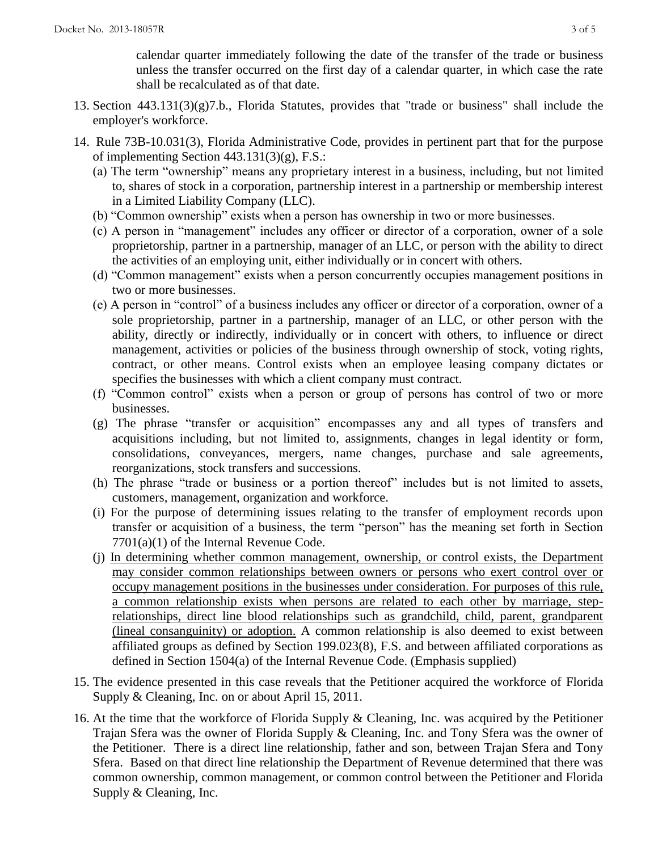calendar quarter immediately following the date of the transfer of the trade or business unless the transfer occurred on the first day of a calendar quarter, in which case the rate shall be recalculated as of that date.

- 13. Section 443.131(3)(g)7.b., Florida Statutes, provides that "trade or business" shall include the employer's workforce.
- 14. Rule 73B-10.031(3), Florida Administrative Code, provides in pertinent part that for the purpose of implementing Section 443.131(3)(g), F.S.:
	- (a) The term "ownership" means any proprietary interest in a business, including, but not limited to, shares of stock in a corporation, partnership interest in a partnership or membership interest in a Limited Liability Company (LLC).
	- (b) "Common ownership" exists when a person has ownership in two or more businesses.
	- (c) A person in "management" includes any officer or director of a corporation, owner of a sole proprietorship, partner in a partnership, manager of an LLC, or person with the ability to direct the activities of an employing unit, either individually or in concert with others.
	- (d) "Common management" exists when a person concurrently occupies management positions in two or more businesses.
	- (e) A person in "control" of a business includes any officer or director of a corporation, owner of a sole proprietorship, partner in a partnership, manager of an LLC, or other person with the ability, directly or indirectly, individually or in concert with others, to influence or direct management, activities or policies of the business through ownership of stock, voting rights, contract, or other means. Control exists when an employee leasing company dictates or specifies the businesses with which a client company must contract.
	- (f) "Common control" exists when a person or group of persons has control of two or more businesses.
	- (g) The phrase "transfer or acquisition" encompasses any and all types of transfers and acquisitions including, but not limited to, assignments, changes in legal identity or form, consolidations, conveyances, mergers, name changes, purchase and sale agreements, reorganizations, stock transfers and successions.
	- (h) The phrase "trade or business or a portion thereof" includes but is not limited to assets, customers, management, organization and workforce.
	- (i) For the purpose of determining issues relating to the transfer of employment records upon transfer or acquisition of a business, the term "person" has the meaning set forth in Section 7701(a)(1) of the Internal Revenue Code.
	- (j) In determining whether common management, ownership, or control exists, the Department may consider common relationships between owners or persons who exert control over or occupy management positions in the businesses under consideration. For purposes of this rule, a common relationship exists when persons are related to each other by marriage, steprelationships, direct line blood relationships such as grandchild, child, parent, grandparent (lineal consanguinity) or adoption. A common relationship is also deemed to exist between affiliated groups as defined by Section 199.023(8), F.S. and between affiliated corporations as defined in Section 1504(a) of the Internal Revenue Code. (Emphasis supplied)
- 15. The evidence presented in this case reveals that the Petitioner acquired the workforce of Florida Supply & Cleaning, Inc. on or about April 15, 2011.
- 16. At the time that the workforce of Florida Supply & Cleaning, Inc. was acquired by the Petitioner Trajan Sfera was the owner of Florida Supply & Cleaning, Inc. and Tony Sfera was the owner of the Petitioner. There is a direct line relationship, father and son, between Trajan Sfera and Tony Sfera. Based on that direct line relationship the Department of Revenue determined that there was common ownership, common management, or common control between the Petitioner and Florida Supply & Cleaning, Inc.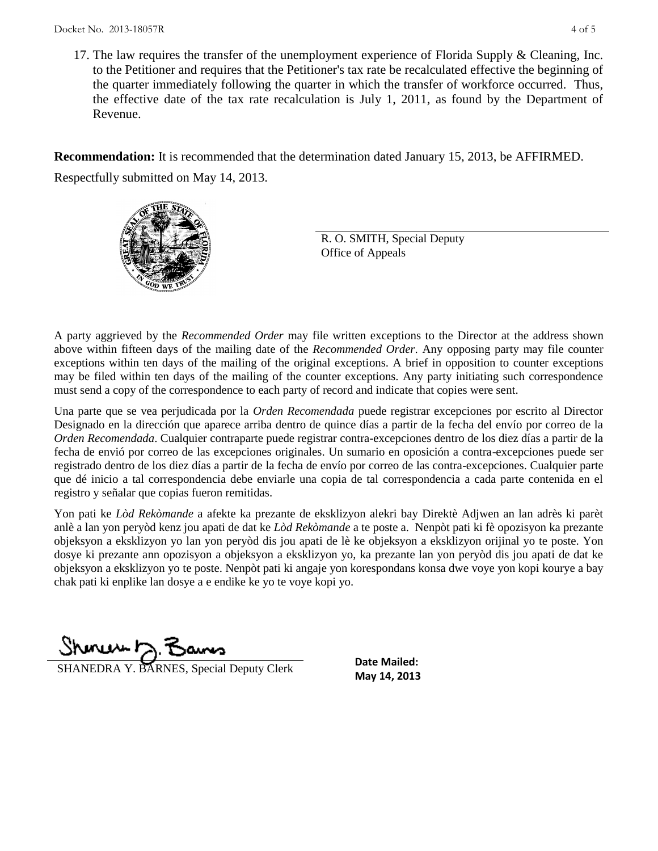17. The law requires the transfer of the unemployment experience of Florida Supply & Cleaning, Inc. to the Petitioner and requires that the Petitioner's tax rate be recalculated effective the beginning of the quarter immediately following the quarter in which the transfer of workforce occurred. Thus, the effective date of the tax rate recalculation is July 1, 2011, as found by the Department of Revenue.

**Recommendation:** It is recommended that the determination dated January 15, 2013, be AFFIRMED. Respectfully submitted on May 14, 2013.



R. O. SMITH, Special Deputy Office of Appeals

A party aggrieved by the *Recommended Order* may file written exceptions to the Director at the address shown above within fifteen days of the mailing date of the *Recommended Order*. Any opposing party may file counter exceptions within ten days of the mailing of the original exceptions. A brief in opposition to counter exceptions may be filed within ten days of the mailing of the counter exceptions. Any party initiating such correspondence must send a copy of the correspondence to each party of record and indicate that copies were sent.

Una parte que se vea perjudicada por la *Orden Recomendada* puede registrar excepciones por escrito al Director Designado en la dirección que aparece arriba dentro de quince días a partir de la fecha del envío por correo de la *Orden Recomendada*. Cualquier contraparte puede registrar contra-excepciones dentro de los diez días a partir de la fecha de envió por correo de las excepciones originales. Un sumario en oposición a contra-excepciones puede ser registrado dentro de los diez días a partir de la fecha de envío por correo de las contra-excepciones. Cualquier parte que dé inicio a tal correspondencia debe enviarle una copia de tal correspondencia a cada parte contenida en el registro y señalar que copias fueron remitidas.

Yon pati ke *Lòd Rekòmande* a afekte ka prezante de eksklizyon alekri bay Direktè Adjwen an lan adrès ki parèt anlè a lan yon peryòd kenz jou apati de dat ke *Lòd Rekòmande* a te poste a. Nenpòt pati ki fè opozisyon ka prezante objeksyon a eksklizyon yo lan yon peryòd dis jou apati de lè ke objeksyon a eksklizyon orijinal yo te poste. Yon dosye ki prezante ann opozisyon a objeksyon a eksklizyon yo, ka prezante lan yon peryòd dis jou apati de dat ke objeksyon a eksklizyon yo te poste. Nenpòt pati ki angaje yon korespondans konsa dwe voye yon kopi kourye a bay chak pati ki enplike lan dosye a e endike ke yo te voye kopi yo.

Shinuw D.F

**SHANEDRA Y. BARNES, Special Deputy Clerk** May 14, 2013

**Date Mailed:**